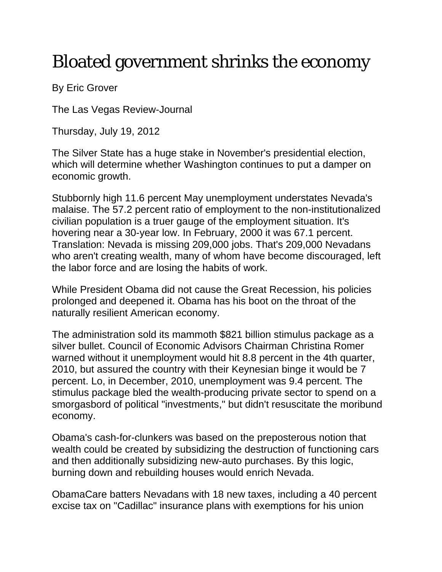## Bloated government shrinks the economy

By Eric Grover

The Las Vegas Review-Journal

Thursday, July 19, 2012

The Silver State has a huge stake in November's presidential election, which will determine whether Washington continues to put a damper on economic growth.

Stubbornly high 11.6 percent May unemployment understates Nevada's malaise. The 57.2 percent ratio of employment to the non-institutionalized civilian population is a truer gauge of the employment situation. It's hovering near a 30-year low. In February, 2000 it was 67.1 percent. Translation: Nevada is missing 209,000 jobs. That's 209,000 Nevadans who aren't creating wealth, many of whom have become discouraged, left the labor force and are losing the habits of work.

While President Obama did not cause the Great Recession, his policies prolonged and deepened it. Obama has his boot on the throat of the naturally resilient American economy.

The administration sold its mammoth \$821 billion stimulus package as a silver bullet. Council of Economic Advisors Chairman Christina Romer warned without it unemployment would hit 8.8 percent in the 4th quarter, 2010, but assured the country with their Keynesian binge it would be 7 percent. Lo, in December, 2010, unemployment was 9.4 percent. The stimulus package bled the wealth-producing private sector to spend on a smorgasbord of political "investments," but didn't resuscitate the moribund economy.

Obama's cash-for-clunkers was based on the preposterous notion that wealth could be created by subsidizing the destruction of functioning cars and then additionally subsidizing new-auto purchases. By this logic, burning down and rebuilding houses would enrich Nevada.

ObamaCare batters Nevadans with 18 new taxes, including a 40 percent excise tax on "Cadillac" insurance plans with exemptions for his union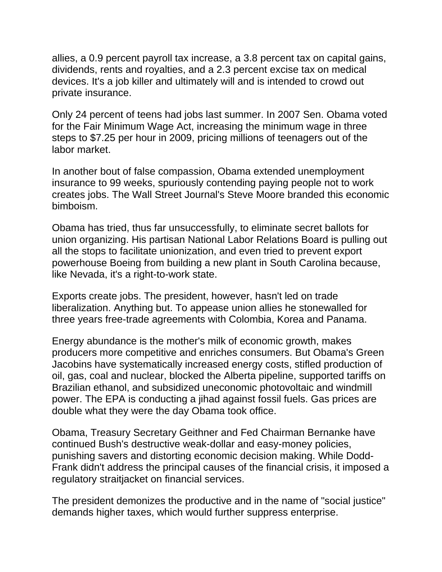allies, a 0.9 percent payroll tax increase, a 3.8 percent tax on capital gains, dividends, rents and royalties, and a 2.3 percent excise tax on medical devices. It's a job killer and ultimately will and is intended to crowd out private insurance.

Only 24 percent of teens had jobs last summer. In 2007 Sen. Obama voted for the Fair Minimum Wage Act, increasing the minimum wage in three steps to \$7.25 per hour in 2009, pricing millions of teenagers out of the labor market.

In another bout of false compassion, Obama extended unemployment insurance to 99 weeks, spuriously contending paying people not to work creates jobs. The Wall Street Journal's Steve Moore branded this economic bimboism.

Obama has tried, thus far unsuccessfully, to eliminate secret ballots for union organizing. His partisan National Labor Relations Board is pulling out all the stops to facilitate unionization, and even tried to prevent export powerhouse Boeing from building a new plant in South Carolina because, like Nevada, it's a right-to-work state.

Exports create jobs. The president, however, hasn't led on trade liberalization. Anything but. To appease union allies he stonewalled for three years free-trade agreements with Colombia, Korea and Panama.

Energy abundance is the mother's milk of economic growth, makes producers more competitive and enriches consumers. But Obama's Green Jacobins have systematically increased energy costs, stifled production of oil, gas, coal and nuclear, blocked the Alberta pipeline, supported tariffs on Brazilian ethanol, and subsidized uneconomic photovoltaic and windmill power. The EPA is conducting a jihad against fossil fuels. Gas prices are double what they were the day Obama took office.

Obama, Treasury Secretary Geithner and Fed Chairman Bernanke have continued Bush's destructive weak-dollar and easy-money policies, punishing savers and distorting economic decision making. While Dodd-Frank didn't address the principal causes of the financial crisis, it imposed a regulatory straitjacket on financial services.

The president demonizes the productive and in the name of "social justice" demands higher taxes, which would further suppress enterprise.